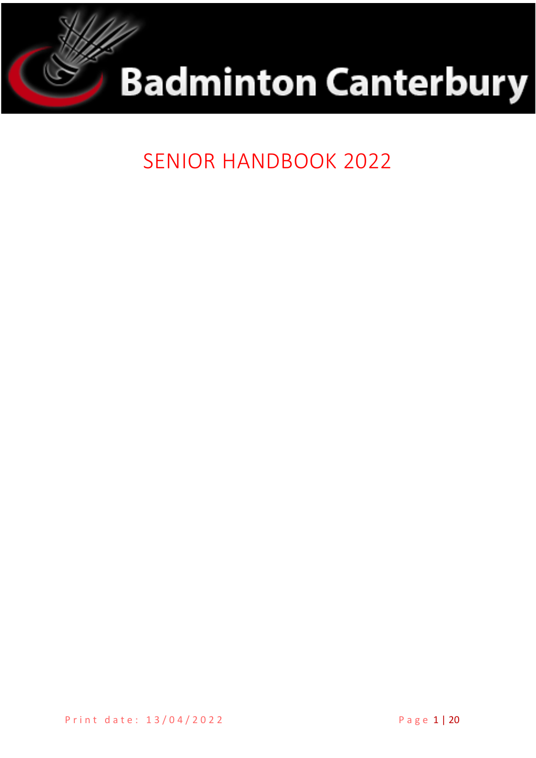



**SENIOR HANDBOOK 2022**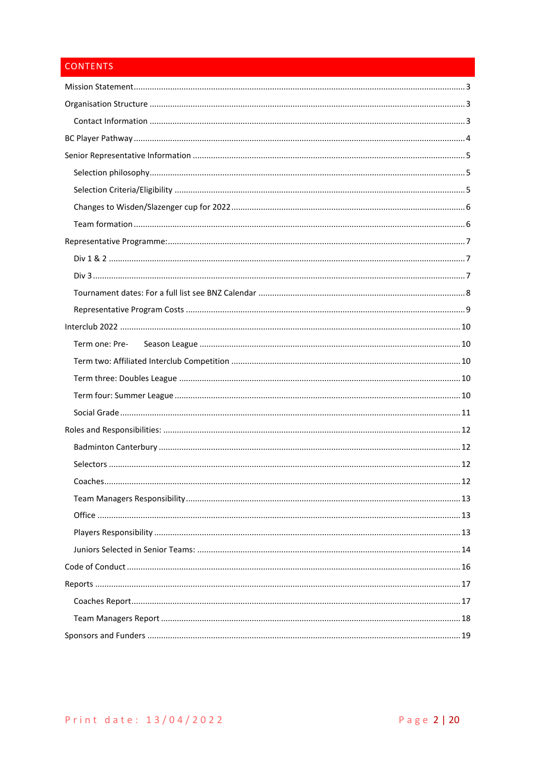# **CONTENTS**

<span id="page-1-0"></span>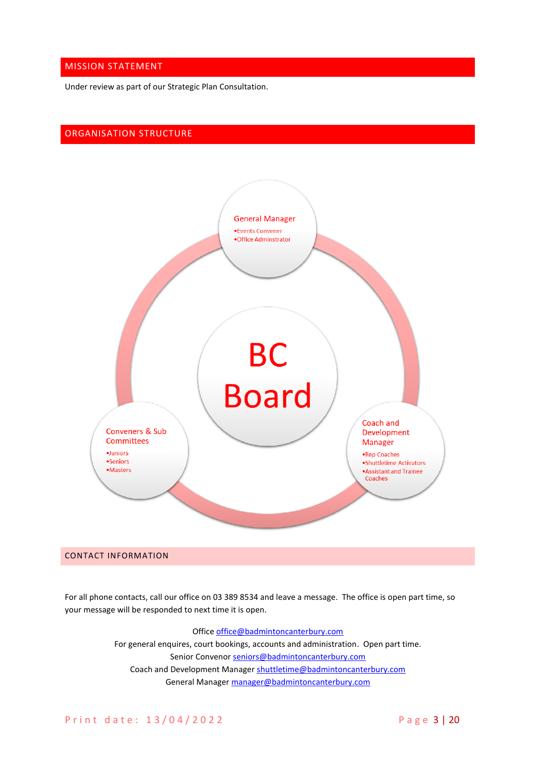# MISSION STATEMENT

Under review as part of our Strategic Plan Consultation.

# <span id="page-2-0"></span>ORGANISATION STRUCTURE



#### <span id="page-2-1"></span>CONTACT INFORMATION

For all phone contacts, call our office on 03 389 8534 and leave a message. The office is open part time, so your message will be responded to next time it is open.

## Office [office@badmintoncanterbury.com](mailto:office@badmintoncanterbury.com)

For general enquires, court bookings, accounts and administration. Open part time. Senior Convenor [seniors@badmintoncanterbury.com](mailto:seniors@badmintoncanterbury.com) Coach and Development Manager [shuttletime@badmintoncanterbury.com](mailto:shuttletime@badmintoncanterbury.com) General Manager [manager@badmintoncanterbury.com](mailto:manager@badmintoncanterbury.com)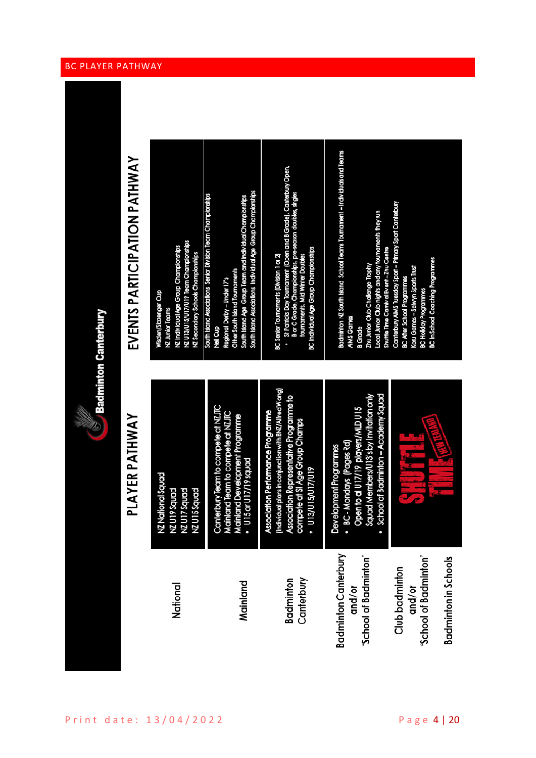|                                                                | $\otimes$ Badminton Canterbury                                                                                                                                                                          |                                                                                                                                                                                                                                                                          |
|----------------------------------------------------------------|---------------------------------------------------------------------------------------------------------------------------------------------------------------------------------------------------------|--------------------------------------------------------------------------------------------------------------------------------------------------------------------------------------------------------------------------------------------------------------------------|
|                                                                | PLAYER PATHWAY                                                                                                                                                                                          | EVENTS PARTICIPATION PATHWAY                                                                                                                                                                                                                                             |
| National                                                       | <b>xtional Squad</b><br>19 Squad<br>7 Squad<br>I5Squad<br>וע<br>וע צא<br>וע צא<br><b>XXX</b>                                                                                                            | NZ U13/U15/U17/U19 Team Championships<br>NZ Individual Age Group Championships<br>NZ Secondary Schools Championships<br>Wisden/Slazenger Cup<br><b>NZ Junior Teams</b>                                                                                                   |
| Mainland                                                       | erbury Team to compete at NZJTC<br>Canterbury Team to compete at NZJT<br>Mainland Team to compete at NZJTC<br>Mainland Development Programme<br>• U15 or U17/19 squad                                   | South Island Associations Individual Age Group Championships<br>South Island Associations Senior Division Team Championships<br>South Island Age Group Team and Individual Championships<br>Other South Island Tournaments<br>Regional Derby - Under 17's<br>dea<br>Meil |
| Canterbury<br>Badminton                                        | (Individual plans in conjunction with BNZ/Alfred W ong)<br>Association Representative Programme to<br>iation Performance Programme<br>ete at SI Age Group Champs<br><b>ALLINGINEIN</b><br>Assoc<br>comp | St Patricks Day Tournament (Open and B Grade), Canterbury Open,<br>B or C Grade, Championships, pre-season doubles, singles<br>BC Individual Age Group Championships<br>BC Senior Tournaments (Division 1 or 2)<br>toumaments, Mid Winter Doubles                        |
| <b>Badminton Canterbury</b><br>'School of Badminton'<br>and/or | Open to al U17/19 players/MLD U15<br>Squad Members/U13's by Invitation only<br>School of Badminton - Academy Squad<br>· BC-Mondays (Pages Rd)<br>lopment Programmes<br>Devel                            | Badminton NZ South Island School Teams Tournament – Individuals and Teams<br>Local Junior Club nights and any tournaments they run<br>Shuttle Time Camival Event-Zhu Centre<br>Zhu Junior Club Challenge Trophy<br><b>AIMS Games</b><br><b>B</b> Grade                   |
| 'School of Badminton'<br>Club badminton<br>and/or              |                                                                                                                                                                                                         | Canterbury AIMS Tuesday Sport - Primary Sport Canterbury<br><b>BC In School Coaching Programmes</b><br>Koru Games - Selwyn Sports Trust<br><b>BC After School Programmes</b><br>BC Hollday Programmes                                                                    |
| <b>Badminton in Schools</b>                                    |                                                                                                                                                                                                         |                                                                                                                                                                                                                                                                          |

# <span id="page-3-0"></span>BC PLAYER PATHWAY

Miller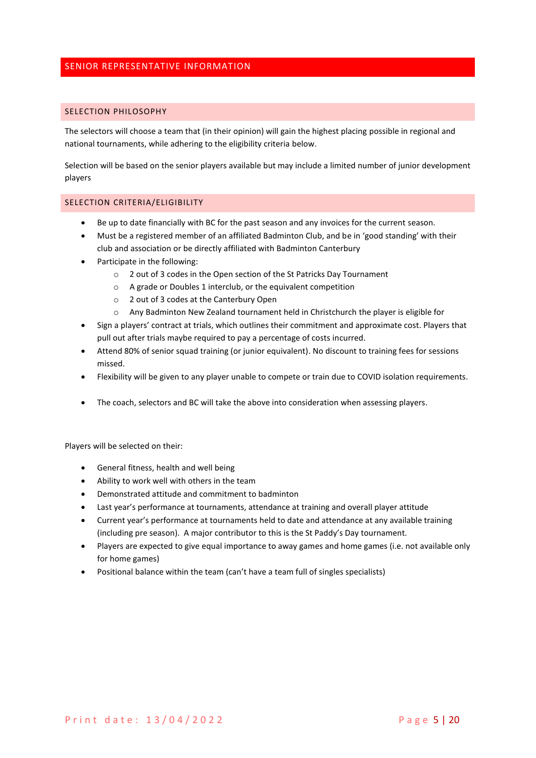# <span id="page-4-0"></span>SENIOR REPRESENTATIVE INFORMATION

#### <span id="page-4-1"></span>SELECTION PHILOSOPHY

The selectors will choose a team that (in their opinion) will gain the highest placing possible in regional and national tournaments, while adhering to the eligibility criteria below.

Selection will be based on the senior players available but may include a limited number of junior development players

#### <span id="page-4-2"></span>SELECTION CRITERIA/ELIGIBILITY

- Be up to date financially with BC for the past season and any invoices for the current season.
- Must be a registered member of an affiliated Badminton Club, and be in 'good standing' with their club and association or be directly affiliated with Badminton Canterbury
- Participate in the following:
	- o 2 out of 3 codes in the Open section of the St Patricks Day Tournament
	- o A grade or Doubles 1 interclub, or the equivalent competition
	- o 2 out of 3 codes at the Canterbury Open
	- o Any Badminton New Zealand tournament held in Christchurch the player is eligible for
- Sign a players' contract at trials, which outlines their commitment and approximate cost. Players that pull out after trials maybe required to pay a percentage of costs incurred.
- Attend 80% of senior squad training (or junior equivalent). No discount to training fees for sessions missed.
- Flexibility will be given to any player unable to compete or train due to COVID isolation requirements.
- The coach, selectors and BC will take the above into consideration when assessing players.

Players will be selected on their:

- General fitness, health and well being
- Ability to work well with others in the team
- Demonstrated attitude and commitment to badminton
- Last year's performance at tournaments, attendance at training and overall player attitude
- Current year's performance at tournaments held to date and attendance at any available training (including pre season). A major contributor to this is the St Paddy's Day tournament.
- Players are expected to give equal importance to away games and home games (i.e. not available only for home games)
- Positional balance within the team (can't have a team full of singles specialists)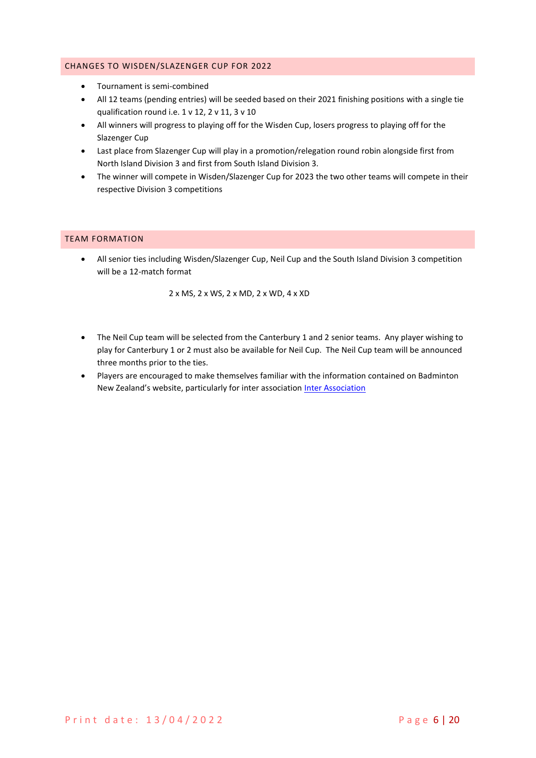# <span id="page-5-0"></span>CHANGES TO WISDEN/SLAZENGER CUP FOR 2022

- Tournament is semi-combined
- All 12 teams (pending entries) will be seeded based on their 2021 finishing positions with a single tie qualification round i.e. 1 v 12, 2 v 11, 3 v 10
- All winners will progress to playing off for the Wisden Cup, losers progress to playing off for the Slazenger Cup
- Last place from Slazenger Cup will play in a promotion/relegation round robin alongside first from North Island Division 3 and first from South Island Division 3.
- The winner will compete in Wisden/Slazenger Cup for 2023 the two other teams will compete in their respective Division 3 competitions

## <span id="page-5-1"></span>TEAM FORMATION

• All senior ties including Wisden/Slazenger Cup, Neil Cup and the South Island Division 3 competition will be a 12-match format

2 x MS, 2 x WS, 2 x MD, 2 x WD, 4 x XD

- The Neil Cup team will be selected from the Canterbury 1 and 2 senior teams. Any player wishing to play for Canterbury 1 or 2 must also be available for Neil Cup. The Neil Cup team will be announced three months prior to the ties.
- Players are encouraged to make themselves familiar with the information contained on Badminton New Zealand's website, particularly for inter association [Inter Association](https://badminton.org.nz/events/inter-association/)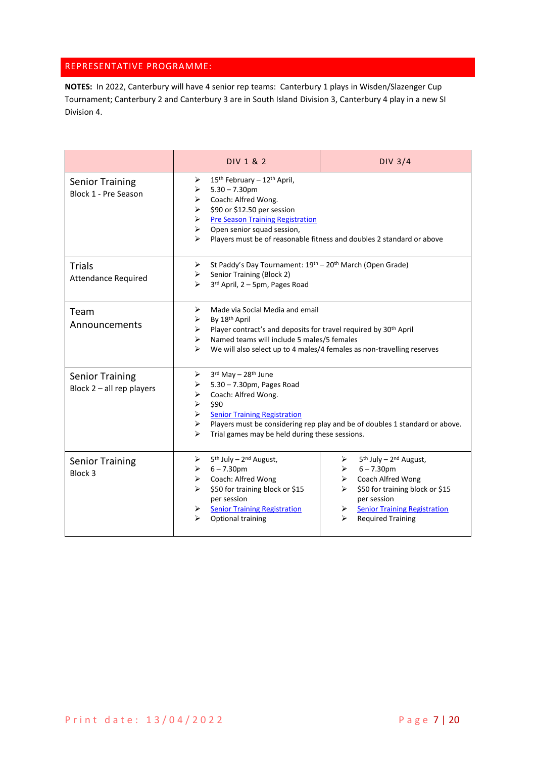# <span id="page-6-0"></span>REPRESENTATIVE PROGRAMME:

**NOTES:** In 2022, Canterbury will have 4 senior rep teams: Canterbury 1 plays in Wisden/Slazenger Cup Tournament; Canterbury 2 and Canterbury 3 are in South Island Division 3, Canterbury 4 play in a new SI Division 4.

<span id="page-6-2"></span><span id="page-6-1"></span>

|                                                       | DIV 1 & 2                                                                                                                                                                                                                                 | <b>DIV 3/4</b>                                                                                                                                                                                                                     |  |  |
|-------------------------------------------------------|-------------------------------------------------------------------------------------------------------------------------------------------------------------------------------------------------------------------------------------------|------------------------------------------------------------------------------------------------------------------------------------------------------------------------------------------------------------------------------------|--|--|
| <b>Senior Training</b><br>Block 1 - Pre Season        | 15 <sup>th</sup> February - 12 <sup>th</sup> April,<br>➤<br>$5.30 - 7.30$ pm<br>➤<br>Coach: Alfred Wong.<br>➤<br>\$90 or \$12.50 per session<br>➤<br><b>Pre Season Training Registration</b><br>➤<br>Open senior squad session,<br>➤<br>↘ | Players must be of reasonable fitness and doubles 2 standard or above                                                                                                                                                              |  |  |
| <b>Trials</b><br><b>Attendance Required</b>           | ➤<br>Senior Training (Block 2)<br>➤<br>3rd April, 2 - 5pm, Pages Road<br>⋗                                                                                                                                                                | St Paddy's Day Tournament: 19th - 20th March (Open Grade)                                                                                                                                                                          |  |  |
| Team<br>Announcements                                 | ➤<br>Made via Social Media and email<br>By 18th April<br>➤<br>➤<br>≻<br>↘                                                                                                                                                                 | Player contract's and deposits for travel required by 30 <sup>th</sup> April<br>Named teams will include 5 males/5 females<br>We will also select up to 4 males/4 females as non-travelling reserves                               |  |  |
| <b>Senior Training</b><br>Block $2$ – all rep players | 3rd May - 28th June<br>➤<br>5.30 - 7.30pm, Pages Road<br>➤<br>Coach: Alfred Wong.<br>➤<br>➤<br>\$90<br><b>Senior Training Registration</b><br>➤<br>➤<br>⋗                                                                                 | Players must be considering rep play and be of doubles 1 standard or above.<br>Trial games may be held during these sessions.                                                                                                      |  |  |
| <b>Senior Training</b><br>Block 3                     | 5 <sup>th</sup> July - 2 <sup>nd</sup> August,<br>➤<br>$6 - 7.30$ pm<br>➤<br>Coach: Alfred Wong<br>≻<br>\$50 for training block or \$15<br>per session<br><b>Senior Training Registration</b><br>➤<br>↘<br>Optional training              | 5 <sup>th</sup> July - 2 <sup>nd</sup> August,<br>➤<br>$6 - 7.30$ pm<br>➤<br>Coach Alfred Wong<br>≻<br>\$50 for training block or \$15<br>per session<br><b>Senior Training Registration</b><br>➤<br>↘<br><b>Required Training</b> |  |  |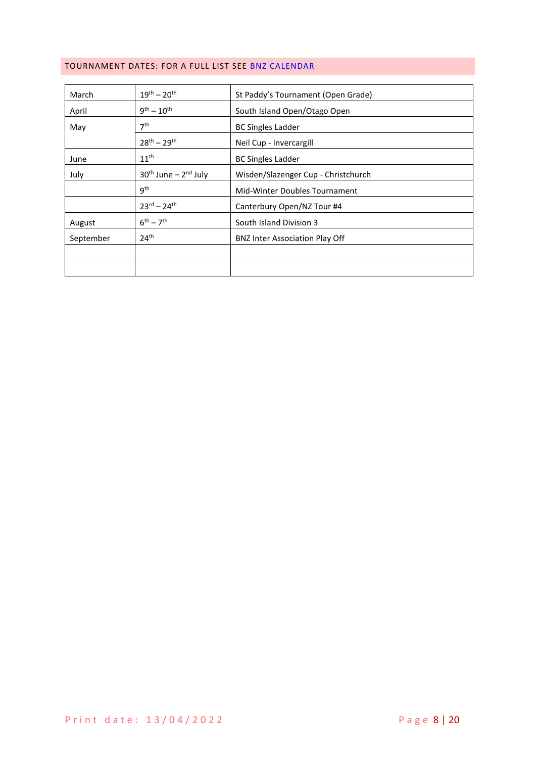# <span id="page-7-0"></span>TOURNAMENT DATES: FOR A FULL LIST SEE [BNZ CALENDAR](https://badminton.org.nz/calendar/)

| March     | $19^{th} - 20^{th}$               | St Paddy's Tournament (Open Grade)    |  |
|-----------|-----------------------------------|---------------------------------------|--|
| April     | $9^{th} - 10^{th}$                | South Island Open/Otago Open          |  |
| May       | 7 <sup>th</sup>                   | <b>BC Singles Ladder</b>              |  |
|           | $28^{th} - 29^{th}$               | Neil Cup - Invercargill               |  |
| June      | 11 <sup>th</sup>                  | <b>BC Singles Ladder</b>              |  |
| July      | $30th$ June – $2nd$ July          | Wisden/Slazenger Cup - Christchurch   |  |
|           | q <sup>th</sup>                   | Mid-Winter Doubles Tournament         |  |
|           | $23^{\text{rd}} - 24^{\text{th}}$ | Canterbury Open/NZ Tour #4            |  |
| August    | $6^{th} - 7^{th}$                 | South Island Division 3               |  |
| September | 24 <sup>th</sup>                  | <b>BNZ Inter Association Play Off</b> |  |
|           |                                   |                                       |  |
|           |                                   |                                       |  |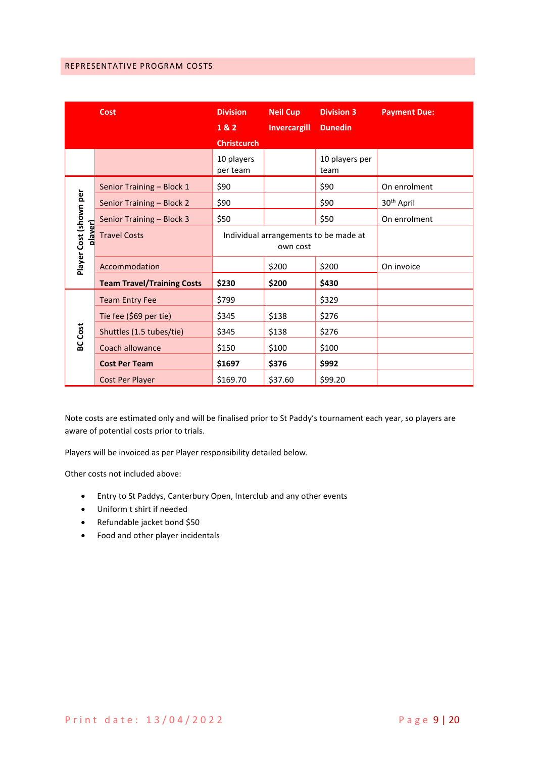# <span id="page-8-0"></span>REPRESENTATIVE PROGRAM COSTS

|                                   | <b>Cost</b>                       | <b>Division</b>                                   | <b>Neil Cup</b>     | <b>Division 3</b>      | <b>Payment Due:</b>    |
|-----------------------------------|-----------------------------------|---------------------------------------------------|---------------------|------------------------|------------------------|
|                                   |                                   | 1&2                                               | <b>Invercargill</b> | <b>Dunedin</b>         |                        |
|                                   |                                   | <b>Christcurch</b>                                |                     |                        |                        |
|                                   |                                   | 10 players<br>per team                            |                     | 10 players per<br>team |                        |
|                                   | Senior Training - Block 1         | \$90                                              |                     | \$90                   | On enrolment           |
|                                   | Senior Training - Block 2         | \$90                                              |                     | \$90                   | 30 <sup>th</sup> April |
|                                   | Senior Training - Block 3         | \$50                                              |                     | \$50                   | On enrolment           |
| Player Cost (shown per<br>plaver) | <b>Travel Costs</b>               | Individual arrangements to be made at<br>own cost |                     |                        |                        |
|                                   | Accommodation                     |                                                   | \$200               | \$200                  | On invoice             |
|                                   | <b>Team Travel/Training Costs</b> | \$230                                             | \$200               | \$430                  |                        |
|                                   | <b>Team Entry Fee</b>             | \$799                                             |                     | \$329                  |                        |
|                                   | Tie fee (\$69 per tie)            | \$345                                             | \$138               | \$276                  |                        |
| <b>BC</b> Cost                    | Shuttles (1.5 tubes/tie)          | \$345                                             | \$138               | \$276                  |                        |
|                                   | Coach allowance                   | \$150                                             | \$100               | \$100                  |                        |
|                                   | <b>Cost Per Team</b>              | \$1697                                            | \$376               | \$992                  |                        |
|                                   | Cost Per Player                   | \$169.70                                          | \$37.60             | \$99.20                |                        |

Note costs are estimated only and will be finalised prior to St Paddy's tournament each year, so players are aware of potential costs prior to trials.

Players will be invoiced as per Player responsibility detailed below.

Other costs not included above:

- Entry to St Paddys, Canterbury Open, Interclub and any other events
- Uniform t shirt if needed
- Refundable jacket bond \$50
- Food and other player incidentals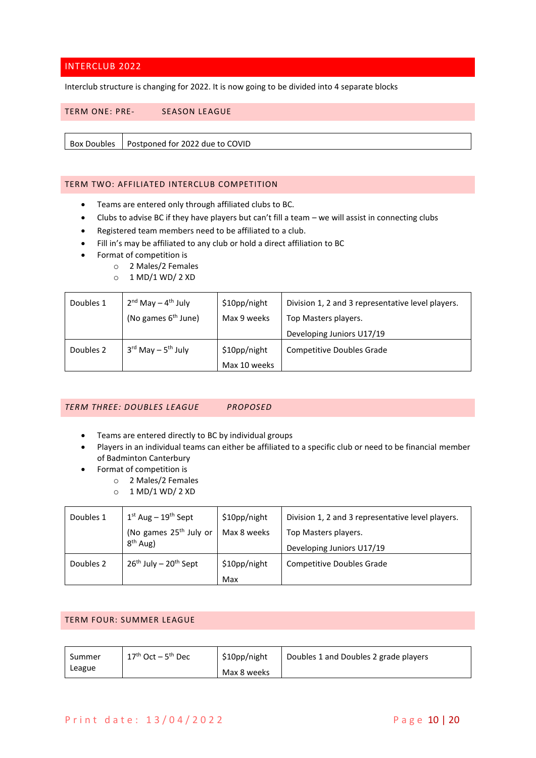# <span id="page-9-0"></span>INTERCLUB 2022

Interclub structure is changing for 2022. It is now going to be divided into 4 separate blocks

### <span id="page-9-1"></span>TERM ONE: PRE- SEASON LEAGUE

Box Doubles Postponed for 2022 due to COVID

## <span id="page-9-2"></span>TERM TWO: AFFILIATED INTERCLUB COMPETITION

- Teams are entered only through affiliated clubs to BC.
- Clubs to advise BC if they have players but can't fill a team we will assist in connecting clubs
- Registered team members need to be affiliated to a club.
- Fill in's may be affiliated to any club or hold a direct affiliation to BC
- Format of competition is
	- o 2 Males/2 Females
	- o 1 MD/1 WD/ 2 XD

| Doubles 1 | $2nd$ May – $4th$ July                     | \$10pp/night | Division 1, 2 and 3 representative level players. |
|-----------|--------------------------------------------|--------------|---------------------------------------------------|
|           | (No games 6 <sup>th</sup> June)            | Max 9 weeks  | Top Masters players.                              |
|           |                                            |              | Developing Juniors U17/19                         |
| Doubles 2 | $3^{\text{rd}}$ May - $5^{\text{th}}$ July | \$10pp/night | <b>Competitive Doubles Grade</b>                  |
|           |                                            | Max 10 weeks |                                                   |

#### <span id="page-9-3"></span>*TERM THREE: DOUBLES LEAGUE PROPOSED*

- Teams are entered directly to BC by individual groups
- Players in an individual teams can either be affiliated to a specific club or need to be financial member of Badminton Canterbury
- Format of competition is
	- o 2 Males/2 Females
	- o 1 MD/1 WD/ 2 XD

| Doubles 1 | $1st$ Aug – $19th$ Sept            | \$10pp/night | Division 1, 2 and 3 representative level players. |
|-----------|------------------------------------|--------------|---------------------------------------------------|
|           | (No games 25 <sup>th</sup> July or | Max 8 weeks  | Top Masters players.                              |
|           | $8th$ Aug)                         |              | Developing Juniors U17/19                         |
| Doubles 2 | $26^{th}$ July – $20^{th}$ Sept    | \$10pp/night | Competitive Doubles Grade                         |
|           |                                    | Max          |                                                   |

#### <span id="page-9-4"></span>TERM FOUR: SUMMER LEAGUE

| Summer | $17th$ Oct $-5th$ Dec | \$10pp/night | Doubles 1 and Doubles 2 grade players |
|--------|-----------------------|--------------|---------------------------------------|
| League |                       | Max 8 weeks  |                                       |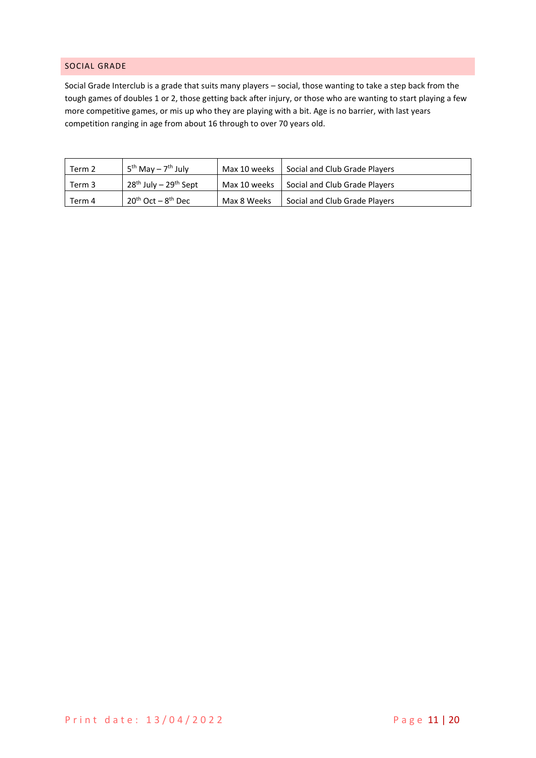# <span id="page-10-0"></span>SOCIAL GRADE

Social Grade Interclub is a grade that suits many players – social, those wanting to take a step back from the tough games of doubles 1 or 2, those getting back after injury, or those who are wanting to start playing a few more competitive games, or mis up who they are playing with a bit. Age is no barrier, with last years competition ranging in age from about 16 through to over 70 years old.

| Term 2 | $5^{th}$ May – $7^{th}$ July    | Max 10 weeks | Social and Club Grade Players |
|--------|---------------------------------|--------------|-------------------------------|
| Term 3 | $28^{th}$ July – $29^{th}$ Sept | Max 10 weeks | Social and Club Grade Players |
| Term 4 | $20^{th}$ Oct – $8^{th}$ Dec    | Max 8 Weeks  | Social and Club Grade Players |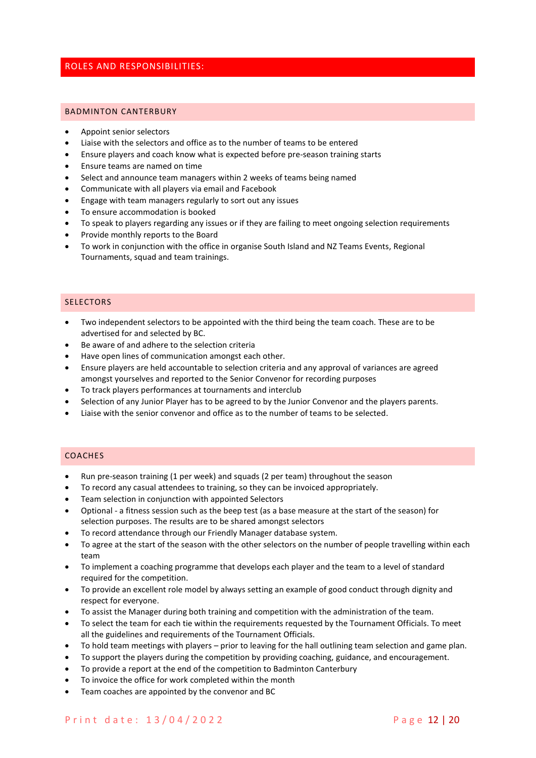# <span id="page-11-0"></span>ROLES AND RESPONSIBILITIES:

#### <span id="page-11-1"></span>BADMINTON CANTERBURY

- Appoint senior selectors
- Liaise with the selectors and office as to the number of teams to be entered
- Ensure players and coach know what is expected before pre-season training starts
- Ensure teams are named on time
- Select and announce team managers within 2 weeks of teams being named
- Communicate with all players via email and Facebook
- Engage with team managers regularly to sort out any issues
- To ensure accommodation is booked
- To speak to players regarding any issues or if they are failing to meet ongoing selection requirements
- Provide monthly reports to the Board
- To work in conjunction with the office in organise South Island and NZ Teams Events, Regional Tournaments, squad and team trainings.

#### <span id="page-11-2"></span>**SELECTORS**

- Two independent selectors to be appointed with the third being the team coach. These are to be advertised for and selected by BC.
- Be aware of and adhere to the selection criteria
- Have open lines of communication amongst each other.
- Ensure players are held accountable to selection criteria and any approval of variances are agreed amongst yourselves and reported to the Senior Convenor for recording purposes
- To track players performances at tournaments and interclub
- Selection of any Junior Player has to be agreed to by the Junior Convenor and the players parents.
- Liaise with the senior convenor and office as to the number of teams to be selected.

## <span id="page-11-3"></span>COACHES

- Run pre-season training (1 per week) and squads (2 per team) throughout the season
- To record any casual attendees to training, so they can be invoiced appropriately.
- Team selection in conjunction with appointed Selectors
- Optional a fitness session such as the beep test (as a base measure at the start of the season) for selection purposes. The results are to be shared amongst selectors
- To record attendance through our Friendly Manager database system.
- To agree at the start of the season with the other selectors on the number of people travelling within each team
- To implement a coaching programme that develops each player and the team to a level of standard required for the competition.
- To provide an excellent role model by always setting an example of good conduct through dignity and respect for everyone.
- To assist the Manager during both training and competition with the administration of the team.
- To select the team for each tie within the requirements requested by the Tournament Officials. To meet all the guidelines and requirements of the Tournament Officials.
- To hold team meetings with players prior to leaving for the hall outlining team selection and game plan.
- To support the players during the competition by providing coaching, guidance, and encouragement.
- To provide a report at the end of the competition to Badminton Canterbury
- To invoice the office for work completed within the month
- Team coaches are appointed by the convenor and BC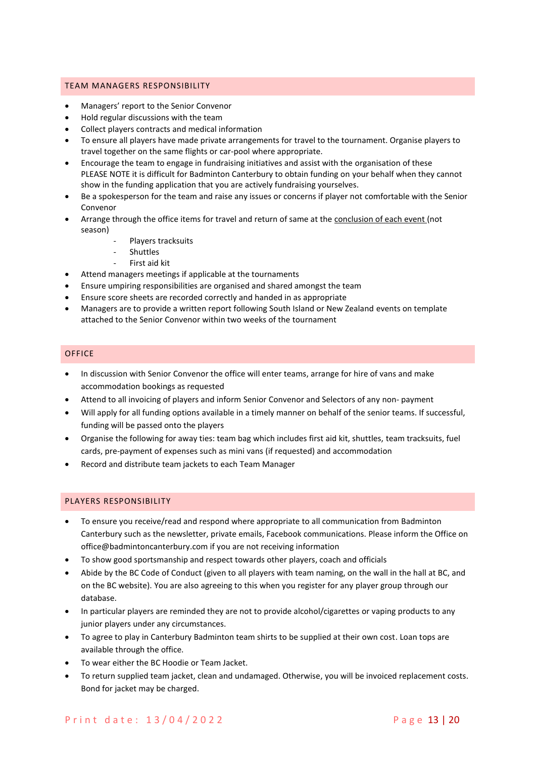#### <span id="page-12-0"></span>TEAM MANAGERS RESPONSIBILITY

- Managers' report to the Senior Convenor
- Hold regular discussions with the team
- Collect players contracts and medical information
- To ensure all players have made private arrangements for travel to the tournament. Organise players to travel together on the same flights or car-pool where appropriate.
- Encourage the team to engage in fundraising initiatives and assist with the organisation of these PLEASE NOTE it is difficult for Badminton Canterbury to obtain funding on your behalf when they cannot show in the funding application that you are actively fundraising yourselves.
- Be a spokesperson for the team and raise any issues or concerns if player not comfortable with the Senior Convenor
- Arrange through the office items for travel and return of same at the conclusion of each event (not season)
	- Players tracksuits
	- **Shuttles**
	- First aid kit
- Attend managers meetings if applicable at the tournaments
- Ensure umpiring responsibilities are organised and shared amongst the team
- Ensure score sheets are recorded correctly and handed in as appropriate
- Managers are to provide a written report following South Island or New Zealand events on template attached to the Senior Convenor within two weeks of the tournament

## <span id="page-12-1"></span>**OFFICE**

- In discussion with Senior Convenor the office will enter teams, arrange for hire of vans and make accommodation bookings as requested
- Attend to all invoicing of players and inform Senior Convenor and Selectors of any non- payment
- Will apply for all funding options available in a timely manner on behalf of the senior teams. If successful, funding will be passed onto the players
- Organise the following for away ties: team bag which includes first aid kit, shuttles, team tracksuits, fuel cards, pre-payment of expenses such as mini vans (if requested) and accommodation
- Record and distribute team jackets to each Team Manager

### <span id="page-12-2"></span>PLAYERS RESPONSIBILITY

- To ensure you receive/read and respond where appropriate to all communication from Badminton Canterbury such as the newsletter, private emails, Facebook communications. Please inform the Office on office@badmintoncanterbury.com if you are not receiving information
- To show good sportsmanship and respect towards other players, coach and officials
- Abide by the BC Code of Conduct (given to all players with team naming, on the wall in the hall at BC, and on the BC website). You are also agreeing to this when you register for any player group through our database.
- In particular players are reminded they are not to provide alcohol/cigarettes or vaping products to any junior players under any circumstances.
- To agree to play in Canterbury Badminton team shirts to be supplied at their own cost. Loan tops are available through the office.
- To wear either the BC Hoodie or Team Jacket.
- To return supplied team jacket, clean and undamaged. Otherwise, you will be invoiced replacement costs. Bond for jacket may be charged.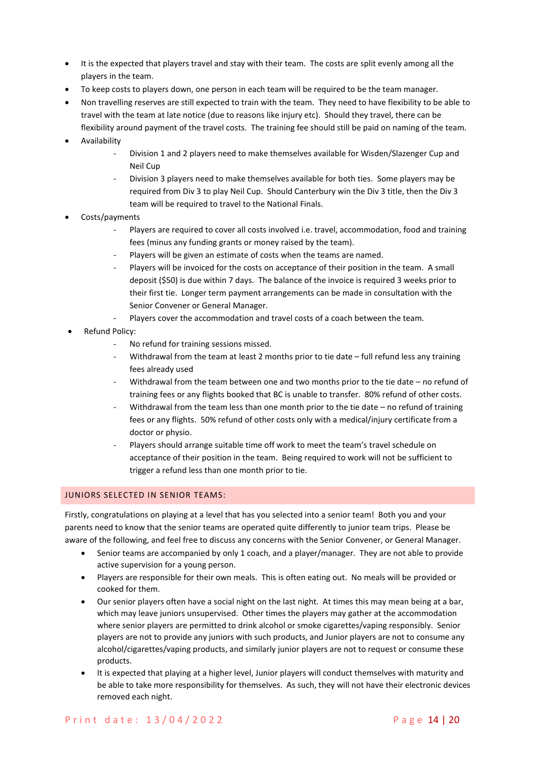- It is the expected that players travel and stay with their team. The costs are split evenly among all the players in the team.
- To keep costs to players down, one person in each team will be required to be the team manager.
- Non travelling reserves are still expected to train with the team. They need to have flexibility to be able to travel with the team at late notice (due to reasons like injury etc). Should they travel, there can be flexibility around payment of the travel costs. The training fee should still be paid on naming of the team.
- Availability
	- Division 1 and 2 players need to make themselves available for Wisden/Slazenger Cup and Neil Cup
	- Division 3 players need to make themselves available for both ties. Some players may be required from Div 3 to play Neil Cup. Should Canterbury win the Div 3 title, then the Div 3 team will be required to travel to the National Finals.
- Costs/payments
	- Players are required to cover all costs involved i.e. travel, accommodation, food and training fees (minus any funding grants or money raised by the team).
	- Players will be given an estimate of costs when the teams are named.
	- Players will be invoiced for the costs on acceptance of their position in the team. A small deposit (\$50) is due within 7 days. The balance of the invoice is required 3 weeks prior to their first tie. Longer term payment arrangements can be made in consultation with the Senior Convener or General Manager.
	- Players cover the accommodation and travel costs of a coach between the team.
- Refund Policy:
	- No refund for training sessions missed.
	- Withdrawal from the team at least 2 months prior to tie date full refund less any training fees already used
	- Withdrawal from the team between one and two months prior to the tie date no refund of training fees or any flights booked that BC is unable to transfer. 80% refund of other costs.
	- Withdrawal from the team less than one month prior to the tie date no refund of training fees or any flights. 50% refund of other costs only with a medical/injury certificate from a doctor or physio.
	- Players should arrange suitable time off work to meet the team's travel schedule on acceptance of their position in the team. Being required to work will not be sufficient to trigger a refund less than one month prior to tie.

## <span id="page-13-0"></span>JUNIORS SELECTED IN SENIOR TEAMS:

Firstly, congratulations on playing at a level that has you selected into a senior team! Both you and your parents need to know that the senior teams are operated quite differently to junior team trips. Please be aware of the following, and feel free to discuss any concerns with the Senior Convener, or General Manager.

- Senior teams are accompanied by only 1 coach, and a player/manager. They are not able to provide active supervision for a young person.
- Players are responsible for their own meals. This is often eating out. No meals will be provided or cooked for them.
- Our senior players often have a social night on the last night. At times this may mean being at a bar, which may leave juniors unsupervised. Other times the players may gather at the accommodation where senior players are permitted to drink alcohol or smoke cigarettes/vaping responsibly. Senior players are not to provide any juniors with such products, and Junior players are not to consume any alcohol/cigarettes/vaping products, and similarly junior players are not to request or consume these products.
- It is expected that playing at a higher level, Junior players will conduct themselves with maturity and be able to take more responsibility for themselves. As such, they will not have their electronic devices removed each night.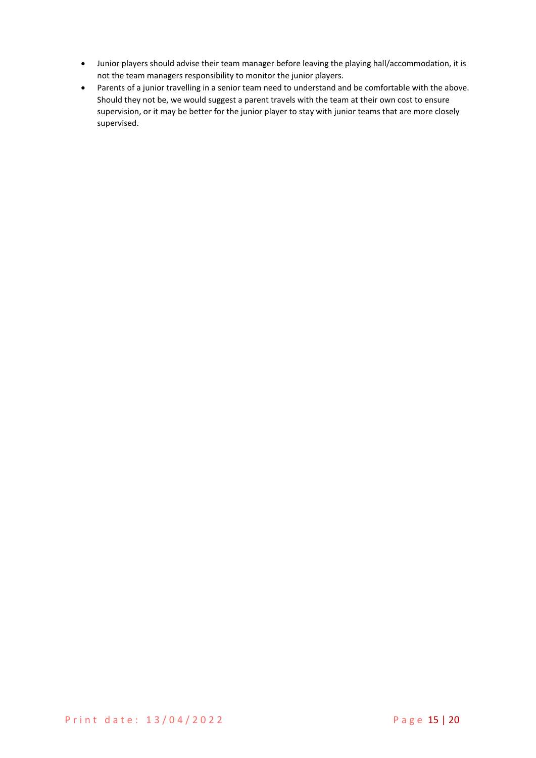- Junior players should advise their team manager before leaving the playing hall/accommodation, it is not the team managers responsibility to monitor the junior players.
- Parents of a junior travelling in a senior team need to understand and be comfortable with the above. Should they not be, we would suggest a parent travels with the team at their own cost to ensure supervision, or it may be better for the junior player to stay with junior teams that are more closely supervised.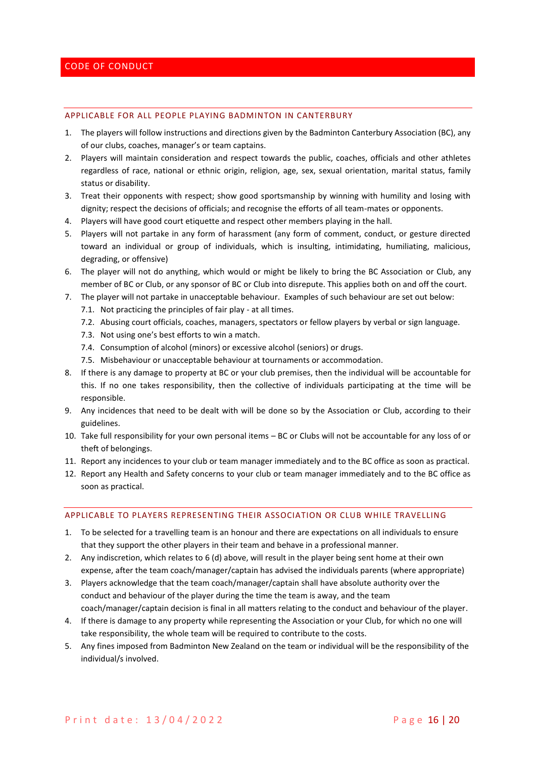#### <span id="page-15-0"></span>APPLICABLE FOR ALL PEOPLE PLAYING BADMINTON IN CANTERBURY

- 1. The players will follow instructions and directions given by the Badminton Canterbury Association (BC), any of our clubs, coaches, manager's or team captains.
- 2. Players will maintain consideration and respect towards the public, coaches, officials and other athletes regardless of race, national or ethnic origin, religion, age, sex, sexual orientation, marital status, family status or disability.
- 3. Treat their opponents with respect; show good sportsmanship by winning with humility and losing with dignity; respect the decisions of officials; and recognise the efforts of all team-mates or opponents.
- 4. Players will have good court etiquette and respect other members playing in the hall.
- 5. Players will not partake in any form of harassment (any form of comment, conduct, or gesture directed toward an individual or group of individuals, which is insulting, intimidating, humiliating, malicious, degrading, or offensive)
- 6. The player will not do anything, which would or might be likely to bring the BC Association or Club, any member of BC or Club, or any sponsor of BC or Club into disrepute. This applies both on and off the court.
- 7. The player will not partake in unacceptable behaviour. Examples of such behaviour are set out below:
	- 7.1. Not practicing the principles of fair play at all times.
	- 7.2. Abusing court officials, coaches, managers, spectators or fellow players by verbal or sign language.
	- 7.3. Not using one's best efforts to win a match.
	- 7.4. Consumption of alcohol (minors) or excessive alcohol (seniors) or drugs.
	- 7.5. Misbehaviour or unacceptable behaviour at tournaments or accommodation.
- 8. If there is any damage to property at BC or your club premises, then the individual will be accountable for this. If no one takes responsibility, then the collective of individuals participating at the time will be responsible.
- 9. Any incidences that need to be dealt with will be done so by the Association or Club, according to their guidelines.
- 10. Take full responsibility for your own personal items BC or Clubs will not be accountable for any loss of or theft of belongings.
- 11. Report any incidences to your club or team manager immediately and to the BC office as soon as practical.
- 12. Report any Health and Safety concerns to your club or team manager immediately and to the BC office as soon as practical.

#### APPLICABLE TO PLAYERS REPRESENTING THEIR ASSOCIATION OR CLUB WHILE TRAVELLING

- 1. To be selected for a travelling team is an honour and there are expectations on all individuals to ensure that they support the other players in their team and behave in a professional manner.
- 2. Any indiscretion, which relates to 6 (d) above, will result in the player being sent home at their own expense, after the team coach/manager/captain has advised the individuals parents (where appropriate)
- 3. Players acknowledge that the team coach/manager/captain shall have absolute authority over the conduct and behaviour of the player during the time the team is away, and the team coach/manager/captain decision is final in all matters relating to the conduct and behaviour of the player.
- 4. If there is damage to any property while representing the Association or your Club, for which no one will take responsibility, the whole team will be required to contribute to the costs.
- 5. Any fines imposed from Badminton New Zealand on the team or individual will be the responsibility of the individual/s involved.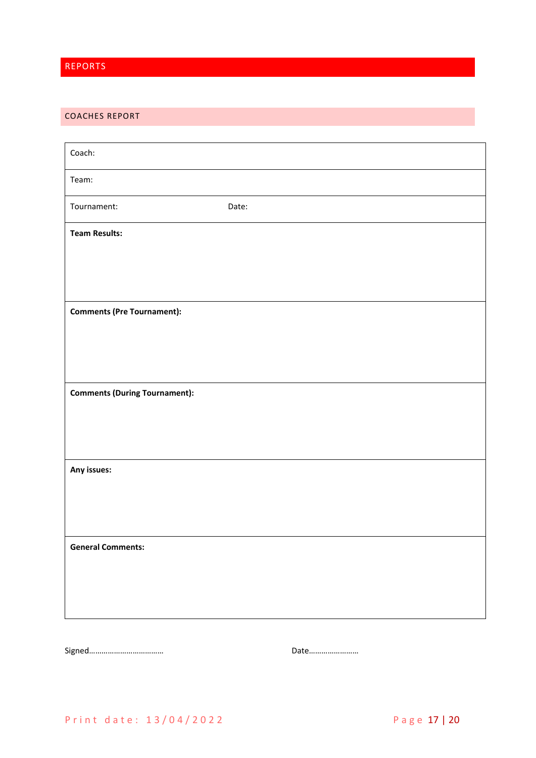# <span id="page-16-0"></span>REPORTS

# <span id="page-16-1"></span>COACHES REPORT

| Coach:                               |       |
|--------------------------------------|-------|
| Team:                                |       |
| Tournament:                          | Date: |
| <b>Team Results:</b>                 |       |
|                                      |       |
|                                      |       |
| <b>Comments (Pre Tournament):</b>    |       |
|                                      |       |
|                                      |       |
| <b>Comments (During Tournament):</b> |       |
|                                      |       |
|                                      |       |
| Any issues:                          |       |
|                                      |       |
|                                      |       |
| <b>General Comments:</b>             |       |
|                                      |       |
|                                      |       |
|                                      |       |

Signed……………………………… Date……………………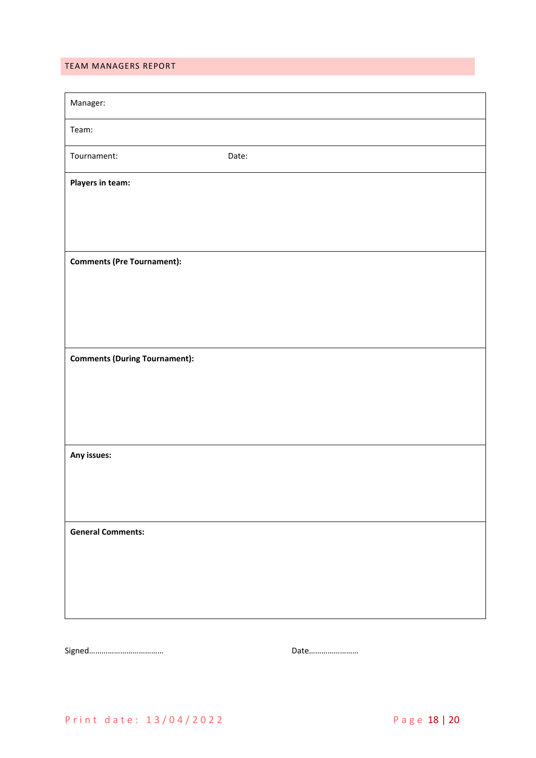# <span id="page-17-0"></span>TEAM MANAGERS REPORT

| Manager:                             |       |  |
|--------------------------------------|-------|--|
| Team:                                |       |  |
| Tournament:                          | Date: |  |
| Players in team:                     |       |  |
|                                      |       |  |
|                                      |       |  |
| <b>Comments (Pre Tournament):</b>    |       |  |
|                                      |       |  |
|                                      |       |  |
|                                      |       |  |
| <b>Comments (During Tournament):</b> |       |  |
|                                      |       |  |
|                                      |       |  |
| Any issues:                          |       |  |
|                                      |       |  |
|                                      |       |  |
| <b>General Comments:</b>             |       |  |
|                                      |       |  |
|                                      |       |  |
|                                      |       |  |

Signed……………………………… Date……………………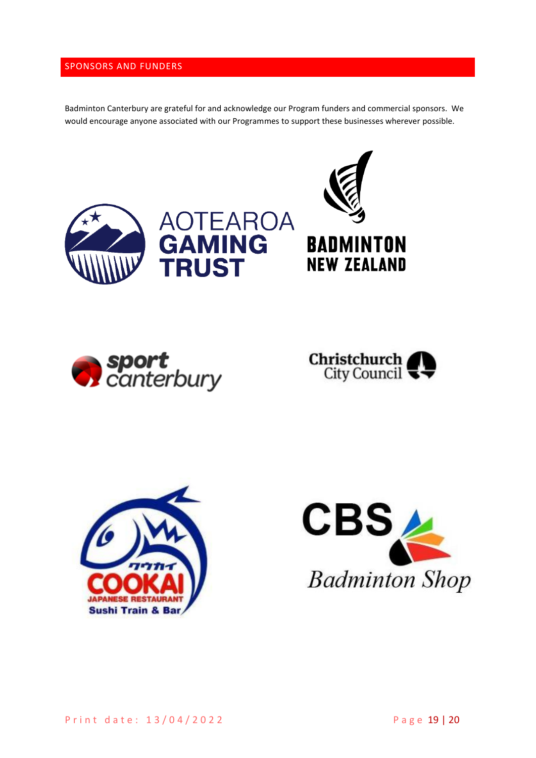# <span id="page-18-0"></span>SPONSORS AND FUNDERS

Badminton Canterbury are grateful for and acknowledge our Program funders and commercial sponsors. We would encourage anyone associated with our Programmes to support these businesses wherever possible.